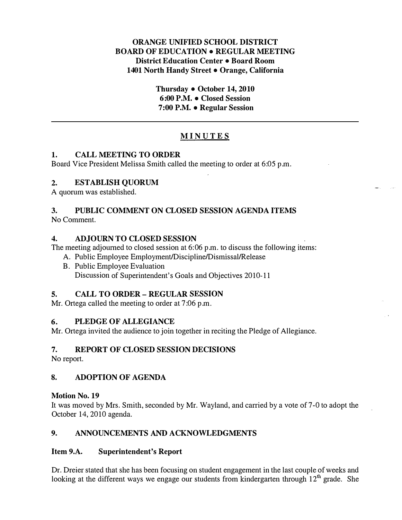## ORANGE UNIFIED SCHOOL DISTRICT BOARD OF EDUCATION • REGULAR MEETING District Education Center • Board Room 1401 North Handy Street • Orange, California

Thursday • October 14, 2010 6:00 P.M. • Closed Session 7: 00 P.M. • Regular Session

# MINUTES

## 1. CALL MEETING TO ORDER

Board Vice President Melissa Smith called the meeting to order at 6:05 p.m.

## 2. ESTABLISH QUORUM

A quorum was established.

#### 3. PUBLIC COMMENT ON CLOSED SESSION AGENDA ITEMS No Comment.

## 4. ADJOURN TO CLOSED SESSION

The meeting adjourned to closed session at 6:06 p.m. to discuss the following items:

- A. Public Employee Employment/Discipline/Dismissal/Release
- B. Public Employee Evaluation Discussion of Superintendent's Goals and Objectives 2010-11

## 5. CALL TO ORDER- REGULAR SESSION

Mr. Ortega called the meeting to order at 7:06 p.m.

## 6. PLEDGE OF ALLEGIANCE

Mr. Ortega invited the audience to join together in reciting the Pledge of Allegiance.

# 7. REPORT OF CLOSED SESSION DECISIONS

No report.

# 8. ADOPTION OF AGENDA

## Motion No. 19

It was moved by Mrs. Smith, seconded by Mr. Wayland, and carried by a vote of 7-0 to adopt the October 14,2010 agenda.

# 9. ANNOUNCEMENTS AND ACKNOWLEDGMENTS

## Item 9.A. Superintendent's Report

Dr. Dreier stated that she has been focusing on student engagement in the last couple of weeks and looking at the different ways we engage our students from kindergarten through  $12<sup>th</sup>$  grade. She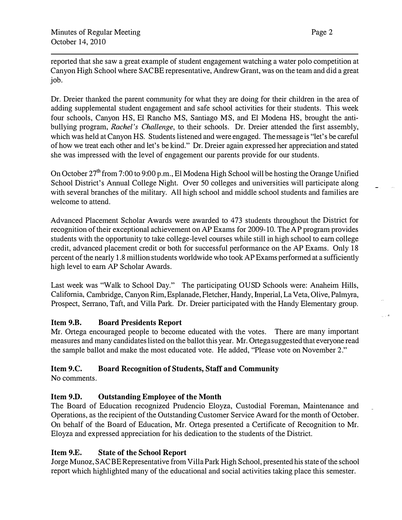reported that she saw a great example of student engagement watching a water polo competition at Canyon High School where SACBE representative, Andrew Grant, was on the team and did a great job.

Dr. Dreier thanked the parent community for what they are doing for their children in the area of adding supplemental student engagement and safe school activities for their students. This week four schools, Canyon HS, El Rancho MS, Santiago MS, and El Modena HS, brought the antibullying program, Rachel's Challenge, to their schools. Dr. Dreier attended the first assembly, which was held at Canyon HS. Students listened and were engaged. The message is "let's be careful of how we treat each other and let's be kind. " Dr. Dreier again expressed her appreciation and stated she was impressed with the level of engagement our parents provide for our students.

On October 27<sup>th</sup> from 7:00 to 9:00 p.m., El Modena High School will be hosting the Orange Unified School District's Annual College Night. Over 50 colleges and universities will participate along with several branches of the military. All high school and middle school students and families are welcome to attend.

Advanced Placement Scholar Awards were awarded to 473 students throughout the District for recognition of their exceptional achievement on AP Exams for 2009-10. The AP program provides students with the opportunity to take college-level courses while still in high school to earn college credit, advanced placement credit or both for successful performance on the AP Exams. Only 18 percent of the nearly 1.8 million students worldwide who took AP Exams performed at a sufficiently high level to earn AP Scholar Awards.

Last week was "Walk to School Day." The participating OUSD Schools were: Anaheim Hills, California, Cambridge, Canyon Rim, Esplanade, Fletcher, Handy, hnperial, La Veta, Olive, Palmyra, Prospect, Serrano, Taft, and Villa Park. Dr. Dreier participated with the Handy Elementary group.

# Item 9.B. Board Presidents Report

Mr. Ortega encouraged people to become educated with the votes. There are many important measures and many candidates listed on the ballot this year. Mr. Ottega suggested that everyone read the sample ballot and make the most educated vote. He added, "Please vote on November 2."

## Item 9.C. Board Recognition of Students, Staff and Community

No comments.

# Item 9.D. Outstanding Employee of the Month

The Board of Education recognized Prudencio Eloyza, Custodial Foreman, Maintenance and Operations, as the recipient of the Outstanding Customer Service Award for the month of October. On behalf of the Board of Education, Mr. Ortega presented a Certificate of Recognition to Mr. Eloyza and expressed appreciation for his dedication to the students of the District.

## Item 9.E. State of the School Report

Jorge Munoz, SACBE Representative from Villa Park High School, presented his state of the school report which highlighted many of the educational and social activities taking place this semester.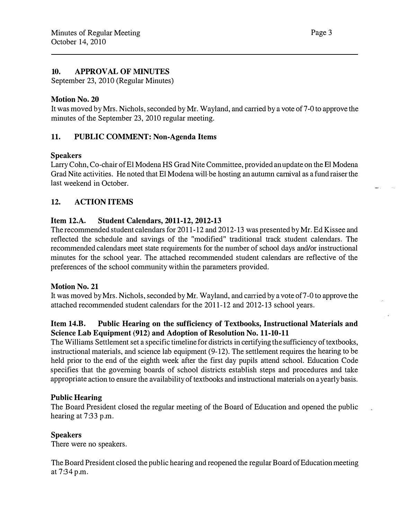#### 10. APPROVAL OF MINUTES

September 23, 2010 (Regular Minutes)

#### Motion No. 20

It was moved by Mrs. Nichols, seconded by Mr. Wayland, and carried by a vote of 7-0 to approve the minutes of the September 23, 2010 regular meeting.

## 11. PUBLIC COMMENT: Non-Agenda Items

#### Speakers

Larry Cohn, Co-chair of El Modena HS Grad Nite Committee, provided an update on the E1 Modena Grad Nite activities. He noted that El Modena will· be hosting an autumn carnival as a fund raiser the last weekend in October.

## 12. ACTION ITEMS

#### Item 12.A. Student Calendars, 2011-12, 2012-13

The recommended student calendars for 2011-12 and 2012-13 was presented by Mr. Ed Kissee and reflected the schedule and savings of the "modified" traditional track student calendars. The recommended calendars meet state requirements for the number of school days and/or instructional minutes for the school year. The attached recommended student calendars are reflective of the preferences of the school community within the parameters provided.

#### Motion No. 21

It was moved by Mrs. Nichols, seconded by Mr. Wayland, and carried by a vote of 7-0 to approve the attached recommended student calendars for the 2011-12 and 2012-13 school years.

#### Item 14.B. Public Hearing on the sufficiency of Textbooks, Instructional Materials and Science Lab Equipment (912) and Adoption of Resolution No. 11-10-11

The Williams Settlement set a specific timeline for districts in certifying the sufficiency of textbooks, instructional materials, and science lab equipment (9-12). The settlement requires the hearing to be held prior to the end of the eighth week after the first day pupils attend school. Education Code specifies that the governing boards of school districts establish steps and procedures and take appropriate action to ensure the availability of textbooks and instructional materials on a yearly basis.

## Public Hearing

The Board President closed the regular meeting of the Board of Education and opened the public hearing at 7:33 p.m.

#### **Speakers**

There were no speakers.

The Board President closed the public hearing and reopened the regular Board of Education meeting at 7:34 p.m.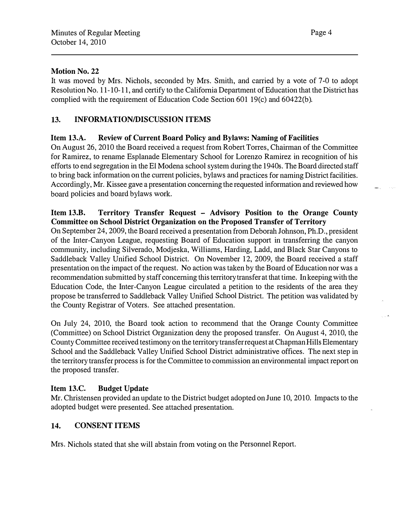## Motion No. 22

It was moved by Mrs. Nichols, seconded by Mrs. Smith, and carried by a vote of 7-0 to adopt Resolution No. 11-10-11, and certify to the California Department of Education that the District has complied with the requirement of Education Code Section 601 19(c) and 60422(b).

# 13. INFORMATION/DISCUSSION ITEMS

# Item 13.A. Review of Current Board Policy and Bylaws: Naming of Facilities

On August 26, 2010 the Board received a request from Robert Torres, Chairman of the Committee for Ramirez, to rename Esplanade Elementary School for Lorenzo Ramirez in recognition of his efforts to end segregation in the El Modena school system during the 1940s. The Board directed staff to bring back information on the current policies, bylaws and practices for naming District facilities. Accordingly, Mr. Kissee gave a presentation concerning the requested information and reviewed how board policies and board bylaws work.

## Item 13.B. Territory Transfer Request - Advisory Position to the Orange County Committee on School District Organization on the Proposed Transfer of Territory

On September 24, 2009, the Board received a presentation from Deborah Johnson, Ph.D., president of the Inter-Canyon League, requesting Board of Education support in transferring the canyon community, including Silverado, Modjeska, Williams, Harding, Ladd, and Black Star Canyons to Saddleback Valley Unified School District. On November 12, 2009, the Board received a staff presentation on the impact of the request. No action was taken by the Board of Education nor was a recommendation submitted by staff concerning this territory transfer at that time. In keeping with the Education Code, the Inter-Canyon League circulated a petition to the residents of the area they propose be transferred to Saddleback Valley Unified School District. The petition was validated by the County Registrar of Voters. See attached presentation.

On July 24, 2010, the Board took action to recommend that the Orange County Committee (Committee) on School District Organization deny the proposed transfer. On August 4, 2010, the County Committee received testimony on the territory transfer request at Chapman Hills Elementary School and the Saddleback Valley Unified School District administrative offices. The next step in the territory transfer process is for the Committee to commission an environmental impact report on the proposed transfer.

# Item 13.C. Budget Update

Mr. Christensen provided an update to the District budget adopted on June 10, 2010. Impacts to the adopted budget were presented. See attached presentation.

# 14. CONSENT ITEMS

Mrs. Nichols stated that she will abstain from voting on the Personnel Report.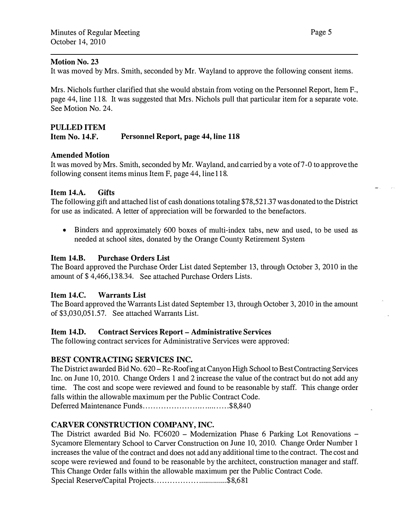#### Motion No. 23

It was moved by Mrs. Smith, seconded by Mr. Wayland to approve the following consent items.

Mrs. Nichols further clarified that she would abstain from voting on the Personnel Report, Item F., page 44, line 118. It was suggested that Mrs. Nichols pull that particular item for a separate vote. See Motion No. 24.

## PULLED ITEM

#### Item No. 14.F. Personnel Report, page 44, line 118

## Amended Motion

It was moved by Mrs. Smith, seconded by Mr. Wayland, and carried by a vote of7-0 to approve the following consent items minus Item F, page 44, line118.

#### Item 14.A. Gifts

The following gift and attached list of cash donations totaling \$78,521.37 was donated to the District for use as indicated. A letter of appreciation will be forwarded to the benefactors.

• Binders and approximately 600 boxes of multi-index tabs, new and used, to be used as needed at school sites, donated by the Orange County Retirement System

#### Item 14.B. Purchase Orders List

The Board approved the Purchase Order List dated September 13, through October 3, 2010 in the amount of \$ 4,466,138.34. See attached Purchase Orders Lists.

#### Item 14.C. Warrants List

The Board approved the Warrants List dated September 13, through October 3, 2010 in the amount of \$3,030,051.57. See attached Warrants List.

#### Item 14.D. Contract Services Report- Administrative Services

The following contract services for Administrative Services were approved:

#### BEST CONTRACTING SERVICES INC.

The District awarded Bid No. 620-Re-Roofing at Canyon High School to Best Contracting Services Inc. on June 10, 2010. Change Orders 1 and 2 increase the value of the contract but do not add any time. The cost and scope were reviewed and found to be reasonable by staff. This change order falls within the allowable maximum per the Public Contract Code.

Deferred Maintenance Funds ................... ..... . .... ..... \$8,840

## CARVER CONSTRUCTION COMPANY, INC.

The District awarded Bid No. FC6020 - Modernization Phase 6 Parking Lot Renovations -Sycamore Elementary School to Carver Construction on June 10, 2010. Change Order Number 1 increases the value of the contract and does not add any additional time to the contract. The cost and scope were reviewed and found to be reasonable by the architect, construction manager and staff. This Change Order falls within the allowable maximum per the Public Contract Code.

Special Reserve/Capital Projects...................................\$8,681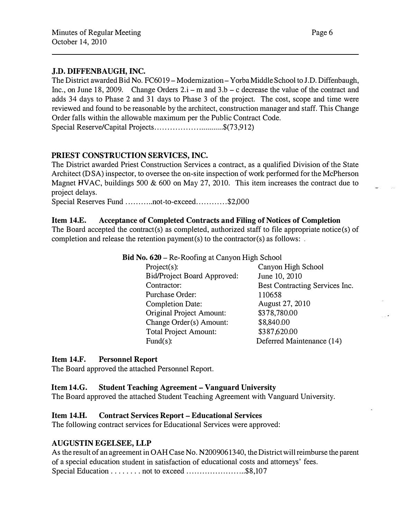## J.D. DIFFENBAUGH, INC.

The District awarded Bid No. FC6019 - Modernization - Yorba Middle School to J.D. Diffenbaugh, Inc., on June 18, 2009. Change Orders  $2.i - m$  and  $3.b - c$  decrease the value of the contract and adds 34 days to Phase 2 and 31 days to Phase 3 of the project. The cost, scope and time were reviewed and found to be reasonable by the architect, construction manager and staff. This Change Order falls within the allowable maximum per the Public Contract Code. Special Reserve/Capital Projects................................... \$(73,912)

## PRIEST CONSTRUCTION SERVICES, INC.

The District awarded Priest Construction Services a contract, as a qualified Division of the State Architect (DSA) inspector, to oversee the on-site inspection of work performed for the McPherson Magnet HVAC, buildings 500 & 600 on May 27, 2010. This item increases the contract due to project delays.

Special Reserves Fund ............not-to-exceed.............\$2,000

#### Item 14.E. Acceptance of Completed Contracts and Filing of Notices of Completion

The Board accepted the contract(s) as completed, authorized staff to file appropriate notice(s) of completion and release the retention payment(s) to the contractor(s) as follows:

Bid No. 620- Re-Roofing at Canyon High School

| Project $(s)$ :                    | Canyon High School             |
|------------------------------------|--------------------------------|
| <b>Bid/Project Board Approved:</b> | June 10, 2010                  |
| Contractor:                        | Best Contracting Services Inc. |
| Purchase Order:                    | 110658                         |
| <b>Completion Date:</b>            | August 27, 2010                |
| <b>Original Project Amount:</b>    | \$378,780.00                   |
| Change Order(s) Amount:            | \$8,840.00                     |
| <b>Total Project Amount:</b>       | \$387,620.00                   |
| Fund $(s)$ :                       | Deferred Maintenance (14)      |

## Item 14.F. Personnel Report

The Board approved the attached Personnel Report.

#### Item 14.G. Student Teaching Agreement- Vanguard University

The Board approved the attached Student Teaching Agreement with Vanguard University.

#### Item 14.H. Contract Services Report- Educational Services

The following contract services for Educational Services were approved:

## AUGUSTIN EGELSEE, LLP

As the result of an agreement in OAH Case No. N2009061340, the District will reimburse the parent of a special education student in satisfaction of educational costs and attorneys' fees. Special Education . . . . . . . . not to exceed . . . . . . . . . . . . . . . . \$8,107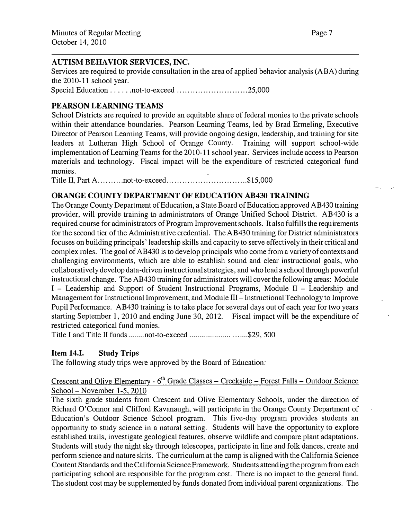## AUTISM BEHAVIOR SERVICES, INC.

Services are required to provide consultation in the area of applied behavior analysis (ABA) during the 2010-11 school year.

Special Education ..... . not-to-exceed ........................... 25,000

# PEARSON LEARNING TEAMS

School Districts are required to provide an equitable share of federal monies to the private schools within their attendance boundaries. Pearson Learning Teams, led by Brad Ermeling, Executive Director of Pearson Learning Teams, will provide ongoing design, leadership, and training for site leaders at Lutheran High School of Orange County. Training will support school-wide implementation of Learning Teams for the 2010-11 school year. Services include access to Pearson materials and technology. Fiscal impact will be the expenditure of restricted categorical fund monies.

Title II, Part A ......... . not-to-exceed ........... ................... . \$15,000

## ORANGE COUNTY DEPARTMENT OF EDUCATION AB430 TRAINING

The Orange County Department of Education, a State Board of Education approved AB430 training provider, will provide training to administrators of Orange Unified School District. AB430 is a required course for administrators of Program Improvement schools. It also fulfills the requirements for the second tier of the Administrative credential. The AB430 training for District administrators focuses on building principals' leadership skills and capacity to serve effectively in their critical and complex roles. The goal of AB430 is to develop principals who come from a variety of contexts and challenging enviromnents, which are able to establish sound and clear instructional goals, who collaboratively develop data-driven instructional strategies, and who lead a school through powerful instructional change. The AB430 training for administrators will cover the following areas: Module I - Leadership and Support of Student Instructional Programs, Module II - Leadership and Management for Instructional Improvement, and Module  $III$  – Instructional Technology to Improve Pupil Performance. AB430 training is to take place for several days out of each year for two years starting September 1, 2010 and ending June 30, 2012. Fiscal impact will be the expenditure of restricted categorical fund monies.

Title I and Title II funds ........ not-to-exceed ..................... . . . . ... \$29, 500

## Item 14.1. Study Trips

The following study trips were approved by the Board of Education:

# Crescent and Olive Elementary -  $6<sup>th</sup>$  Grade Classes – Creekside – Forest Falls – Outdoor Science School - November 1-5, 2010

The sixth grade students from Crescent and Olive Elementary Schools, under the direction of Richard O'Connor and Clifford Kavanaugh, will participate in the Orange County Department of Education's Outdoor Science School program. This five-day program provides students an opportunity to study science in a natural setting. Students will have the opportunity to explore established trails, investigate geological features, observe wildlife and compare plant adaptations. Students will study the night sky through telescopes, participate in line and folk dances, create and perform science and nature skits. The curriculum at the camp is aligned with the California Science Content Standards and the California Science Framework. Students attending the program from each participating school are responsible for the program cost. There is no impact to the general fund. The student cost may be supplemented by funds donated from individual parent organizations. The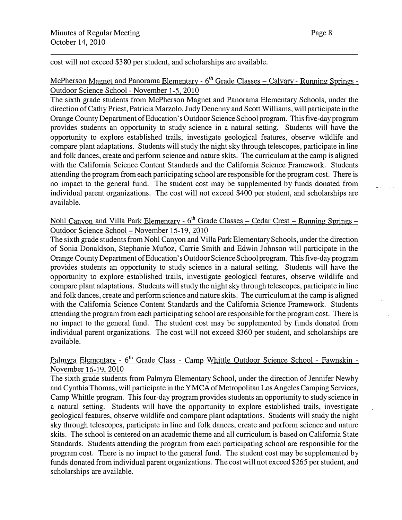cost will not exceed \$380 per student, and scholarships are available.

# McPherson Magnet and Panorama Elementary -  $6<sup>th</sup>$  Grade Classes – Calvary - Running Springs -Outdoor Science School - November 1-5, 2010

The sixth grade students from McPherson Magnet and Panorama Elementary Schools, under the direction of Cathy Priest, Patricia Marzolo, Judy Denenny and Scott Williams, will participate in the Orange County Department of Education's Outdoor Science School program. This five-day program provides students an opportunity to study science in a natural setting. Students will have the opportunity to explore established trails, investigate geological features, observe wildlife and compare plant adaptations. Students will study the night sky through telescopes, participate in line and folk dances, create and perform science and nature skits. The curriculum at the camp is aligned with the California Science Content Standards and the California Science Framework. Students attending the program from each participating school are responsible for the program cost. There is no impact to the general fund. The student cost may be supplemented by funds donated from individual parent organizations. The cost will not exceed \$400 per student, and scholarships are available.

# Nohl Canyon and Villa Park Elementary - 6<sup>th</sup> Grade Classes - Cedar Crest - Running Springs -Outdoor Science School - November 15-19, 2010

The sixth grade students from Nohl Canyon and Villa Park Elementary Schools, under the direction of Sonia Donaldson, Stephanie Munoz, Carrie Smith and Edwin Johnson will participate in the Orange County Department of Education's Outdoor Science School program. This five-day program provides students an opportunity to study science in a natural setting. Students will have the opportunity to explore established trails, investigate geological features, observe wildlife and compare plant adaptations. Students will study the night sky through telescopes, participate in line and folk dances, create and perform science and nature skits. The curriculum at the camp is aligned with the California Science Content Standards and the California Science Framework. Students attending the program from each participating school are responsible for the program cost. There is no impact to the general fund. The student cost may be supplemented by funds donated from individual parent organizations. The cost will not exceed \$360 per student, and scholarships are available.

## Palmyra Elementary -  $6<sup>th</sup>$  Grade Class - Camp Whittle Outdoor Science School - Fawnskin -November 16-19, 2010

The sixth grade students from Palmyra Elementary School, under the direction of Jennifer Newby and Cynthia Thomas, will participate in the YMCA of Metropolitan Los Angeles Camping Services, Camp Whittle program. This four-day program provides students an opportunity to study science in a natural setting. Students will have the opportunity to explore established trails, investigate geological features, observe wildlife and compare plant adaptations. Students will study the night sky through telescopes, participate in line and folk dances, create and perform science and nature skits. The school is centered on an academic theme and all curriculum is based on California State Standards. Students attending the program from each participating school are responsible for the program cost. There is no impact to the general fund. The student cost may be supplemented by funds donated from individual parent organizations. The cost will not exceed \$265 per student, and scholarships are available.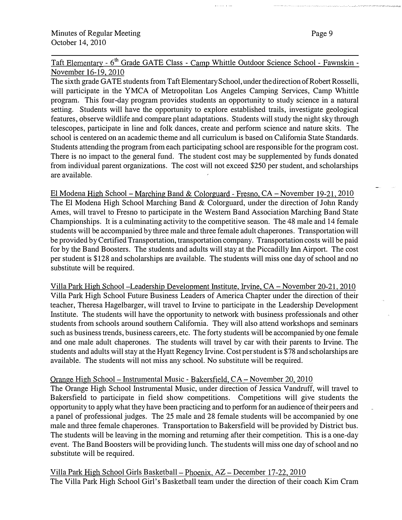Page 9

Taft Elementary - 6<sup>th</sup> Grade GATE Class - Camp Whittle Outdoor Science School - Fawnskin -November 16-19, 2010

The sixth grade GATE students from Taft Elementary School, under the direction of Robert Rosselli, will participate in the YMCA of Metropolitan Los Angeles Camping Services, Camp Whittle program. This four-day program provides students an opportunity to study science in a natural setting. Students will have the opportunity to explore established trails, investigate geological features, observe wildlife and compare plant adaptations. Students will study the night sky through telescopes, participate in line and folk dances, create and perform science and nature skits. The school is centered on an academic theme and all curriculum is based on California State Standards. Students attending the program from each participating school are responsible for the program cost. There is no impact to the general fund. The student cost may be supplemented by funds donated from individual parent organizations. The cost will not exceed \$250 per student, and scholarships are available.

El Modena High School -Marching Band & Colorguard - Fresno, CA- November 19-21, 2010 The El Modena High School Marching Band  $&$  Colorguard, under the direction of John Randy Ames, will travel to Fresno to participate in the Western Band Association Marching Band State Championships. It is a culminating activity to the competitive season. The 48 male and 14 female students will be accompanied by three male and three female adult chaperones. Transportation will be provided by Certified Transportation, transportation company. Transportation costs will be paid for by the Band Boosters. The students and adults will stay at the Piccadilly Inn Airport. The cost per student is \$128 and scholarships are available. The students will miss one day of school and no substitute will be required.

Villa Park High School -Leadership Development Institute, Irvine, CA- November 20-21, 2010 Villa Park High School Future Business Leaders of America Chapter under the direction of their teacher, Theresa Hagelbarger, will travel to Irvine to participate in the Leadership Development Institute. The students will have the opportunity to network with business professionals and other students from schools around southern California. They will also attend workshops and seminars such as business trends, business careers, etc. The forty students will be accompanied by one female and one male adult chaperones. The students will travel by car with their parents to Irvine. The students and adults will stay at the Hyatt Regency Irvine. Cost per student is \$78 and scholarships are available. The students will not miss any school. No substitute will be required.

#### Orange High School - Instrumental Music - Bakersfield, CA - November 20, 2010

The Orange High School Instrumental Music, under direction of Jessica Vandruff, will travel to Bakersfield to participate in field show competitions. Competitions will give students the opportunity to apply what they have been practicing and to perform for an audience of their peers and a panel of professional judges. The 25 male and 28 female students will be accompanied by one male and three female chaperones. Transportation to Bakersfield will be provided by District bus. The students will be leaving in the morning and returning after their competition. This is a one-day event. The Band Boosters will be providing lunch. The students will miss one day of school and no substitute will be required.

Villa Park High School Girls Basketball – Phoenix, AZ – December 17-22, 2010 The Villa Park High School Girl's Basketball team under the direction of their coach Kim Cram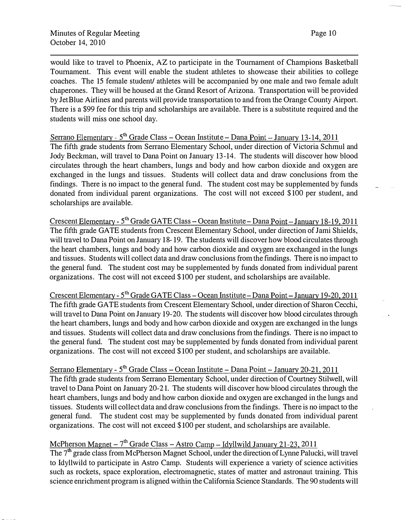would like to travel to Phoenix, AZ to participate in the Tournament of Champions Basketball Tournament. This event will enable the student athletes to showcase their abilities to college coaches. The 15 female student/ athletes will be accompanied by one male and two female adult chaperones. They will be housed at the Grand Resort of Arizona. Transportation will be provided by JetBlue Airlines and parents will provide transportation to and from the Orange County Airport. There is a \$99 fee for this trip and scholarships are available. There is a substitute required and the students will miss one school day.

Serrano Elementary - 5<sup>th</sup> Grade Class – Ocean Institute – Dana Point – January 13-14, 2011 The fifth grade students from Serrano Elementary School, under direction of Victoria Schmul and Jody Beckman, will travel to Dana Point on January 13-14. The students will discover how blood circulates through the heart chambers, lungs and body and how carbon dioxide and oxygen are exchanged in the lungs and tissues. Students will collect data and draw conclusions from the findings. There is no impact to the general fund. The student cost may be supplemented by funds donated from individual parent organizations. The cost will not exceed \$100 per student, and scholarships are available.

Crescent Elementary - 5<sup>th</sup> Grade GATE Class – Ocean Institute – Dana Point – January 18-19, 2011 The fifth grade GATE students from Crescent Elementary School, under direction of Jami Shields, will travel to Dana Point on January 18-19. The students will discover how blood circulates through the heart chambers, lungs and body and how carbon dioxide and oxygen are exchanged in the lungs and tissues. Students will collect data and draw conclusions from the findings. There is no impact to the general fund. The student cost may be supplemented by funds donated from individual parent organizations. The cost will not exceed \$100 per student, and scholarships are available.

Crescent Elementary - 5<sup>th</sup> Grade GATE Class – Ocean Institute – Dana Point – January 19-20, 2011 The fifth grade GATE students from Crescent Elementary School, under direction of Sharon Cecchi, will travel to Dana Point on January 19-20. The students will discover how blood circulates through the heart chambers, lungs and body and how carbon dioxide and oxygen are exchanged in the lungs and tissues. Students will collect data and draw conclusions from the findings. There is no impact to the general fund. The student cost may be supplemented by funds donated from individual parent organizations. The cost will not exceed \$100 per student, and scholarships are available.

Serrano Elementary - 5<sup>th</sup> Grade Class – Ocean Institute – Dana Point – January 20-21, 2011 The fifth grade students from Serrano Elementary School, under direction of Courtney Stilwell, will travel to Dana Point on January 20-21. The students will discover how blood circulates through the heart chambers, lungs and body and how carbon dioxide and oxygen are exchanged in the lungs and tissues. Students will collect data and draw conclusions from the findings. There is no impact to the general fund. The student cost may be supplemented by funds donated from individual parent organizations. The cost will not exceed \$100 per student, and scholarships are available.

# McPherson Magnet -  $7<sup>th</sup>$  Grade Class - Astro Camp - Idyllwild January 21-23, 2011

The 7<sup>th</sup> grade class from McPherson Magnet School, under the direction of Lynne Palucki, will travel to Idyllwild to participate in Astro Camp. Students will experience a variety of science activities such as rockets, space exploration, electromagnetic, states of matter and astronaut training. This science enrichment program is aligned within the California Science Standards. The 90 students will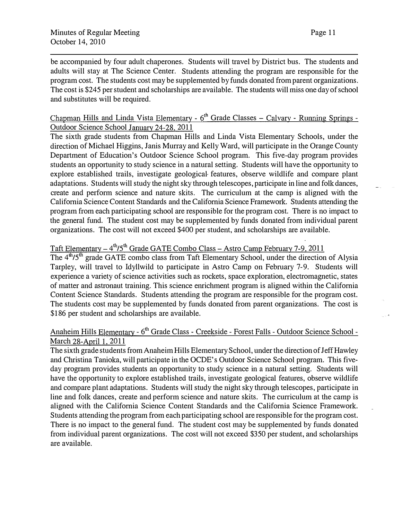be accompanied by four adult chaperones. Students will travel by District bus. The students and adults will stay at The Science Center. Students attending the program are responsible for the program cost. The students cost may be supplemented by funds donated from parent organizations. The cost is \$245 per student and scholarships are available. The students will miss one day of school and substitutes will be required.

# Chapman Hills and Linda Vista Elementary -  $6<sup>th</sup>$  Grade Classes – Calvary - Running Springs -Outdoor Science School January 24-28. 2011

The sixth grade students from Chapman Hills and Linda Vista Elementary Schools, under the direction of Michael Higgins, Janis Murray and Kelly Ward, will participate in the Orange County Department of Education's Outdoor Science School program. This five-day program provides students an opportunity to study science in a natural setting. Students will have the opportunity to explore established trails, investigate geological features, observe wildlife and compare plant adaptations. Students will study the night sky through telescopes, participate in line and folk dances, create and perform science and nature skits. The curriculum at the camp is aligned with the California Science Content Standards and the California Science Framework. Students attending the program from each participating school are responsible for the program cost. There is no impact to the general fund. The student cost may be supplemented by funds donated from individual parent organizations. The cost will not exceed \$400 per student, and scholarships are available.

# Taft Elementary – 4<sup>th</sup>/5<sup>th</sup> Grade GATE Combo Class – Astro Camp February 7-9, 2011

The 4<sup>th</sup>/5<sup>th</sup> grade GATE combo class from Taft Elementary School, under the direction of Alysia Tarpley, will travel to Idyllwild to participate in Astro Camp on February 7-9. Students will experience a variety of science activities such as rockets, space exploration, electromagnetic, states of matter and astronaut training. This science enrichment program is aligned within the California Content Science Standards. Students attending the program are responsible for the program cost. The students cost may be supplemented by funds donated from parent organizations. The cost is \$186 per student and scholarships are available.

## Anaheim Hills Elementary - 6<sup>th</sup> Grade Class - Creekside - Forest Falls - Outdoor Science School -March 28-April 1, 2011

The sixth grade students from Anaheim Hills Elementary School, under the direction of Jeff Hawley and Christina Tanioka, will participate in the OCDE' s Outdoor Science School program. This fiveday program provides students an opportunity to study science in a natural setting. Students will have the opportunity to explore established trails, investigate geological features, observe wildlife and compare plant adaptations. Students will study the night sky through telescopes, participate in line and folk dances, create and perform science and nature skits. The curriculum at the camp is aligned with the California Science Content Standards and the California Science Framework. Students attending the program from each participating school are responsible for the program cost. There is no impact to the general fund. The student cost may be supplemented by funds donated from individual parent organizations. The cost will not exceed \$350 per student, and scholarships are available.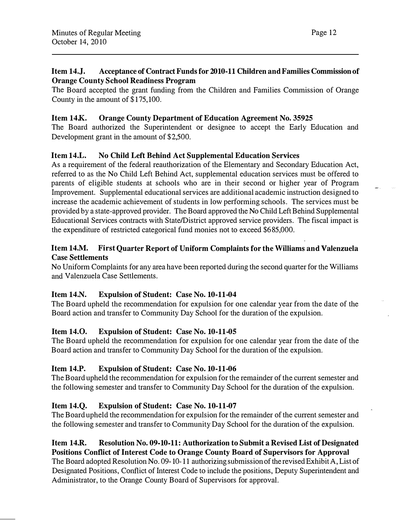## Item 14.J. Acceptance of Contract Funds for 2010-11 Children and Families Commission of Orange County School Readiness Program

The Board accepted the grant funding from the Children and Families Commission of Orange County in the amount of \$175,100.

## Item 14K. Orange County Department of Education Agreement No. 35925

The Board authorized the Superintendent or designee to accept the Early Education and Development grant in the amount of \$2,500.

# Item 14.L. No Child Left Behind Act Supplemental Education Services

As a requirement of the federal reauthorization of the Elementary and Secondary Education Act, referred to as the No Child Left Behind Act, supplemental education services must be offered to parents of eligible students at schools who are in their second or higher year of Program Improvement. Supplemental educational services are additional academic instruction designed to increase the academic achievement of students in low performing schools. The services must be provided by a state-approved provider. The Board approved the No Child Left Behind Supplemental Educational Services contracts with State/District approved service providers. The fiscal impact is the expenditure of restricted categorical fund monies not to exceed \$685,000.

## Item 14.M. First Quarter Report of Uniform Complaints for the Williams and Valenzuela Case Settlements

No Uniform Complaints for any area have been reported during the second quarter for the Williams and Valenzuela Case Settlements.

## Item 14.N. Expulsion of Student: Case No. 10-11-04

The Board upheld the recommendation for expulsion for one calendar year from the date of the Board action and transfer to Community Day School for the duration of the expulsion.

## Item 14.0. Expulsion of Student: Case No. 10-11-05

The Board upheld the recommendation for expulsion for one calendar year from the date of the Board action and transfer to Community Day School for the duration of the expulsion.

# Item 14.P. Expulsion of Student: Case No. 10-11-06

The Board upheld the recommendation for expulsion for the remainder of the current semester and the following semester and transfer to Community Day School for the duration of the expulsion.

# Item 14.Q. Expulsion of Student: Case No. 10-11-07

The Board upheld the recommendation for expulsion for the remainder of the current semester and the following semester and transfer to Community Day School for the duration of the expulsion.

## Item 14.R. Resolution No. 09-10-11: Authorization to Submit a Revised List of Designated Positions Conflict of Interest Code to Orange County Board of Supervisors for Approval

The Board adopted Resolution No. 09-10-11 authorizing submission of the revised Exhibit A, List of Designated Positions, Conflict of Interest Code to include the positions, Deputy Superintendent and Administrator, to the Orange County Board of Supervisors for approval.